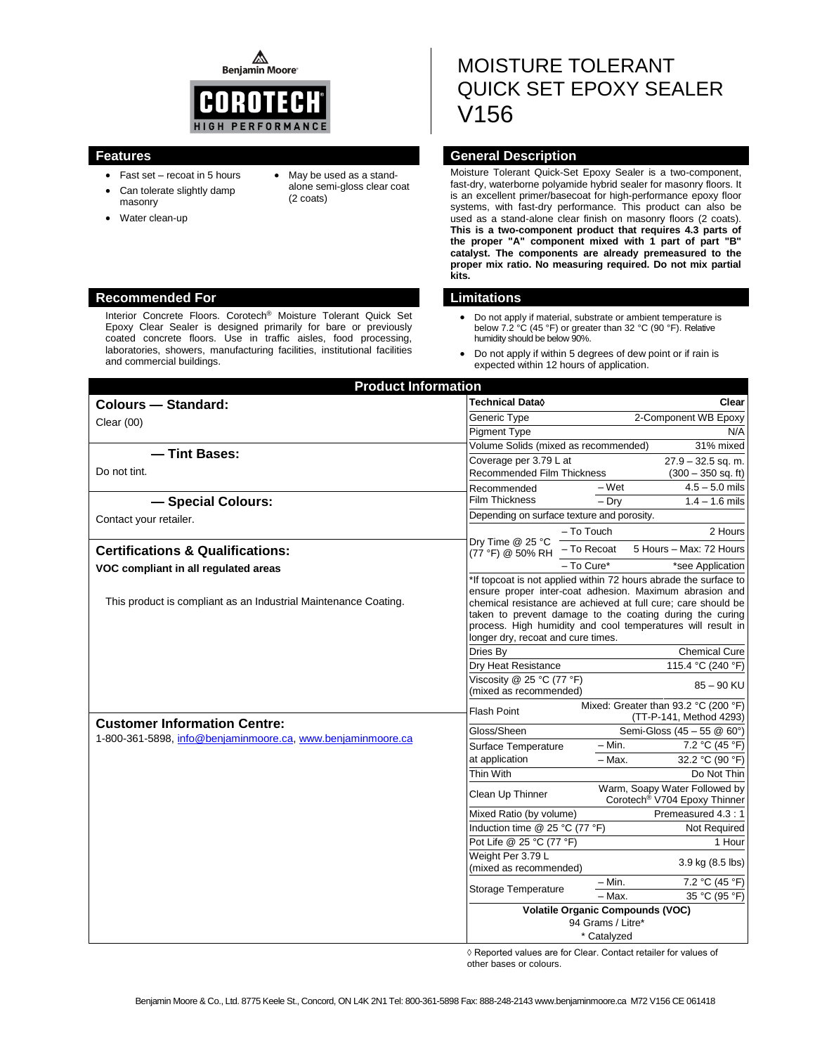⚠ **Benjamin Moore** 



- Fast set recoat in 5 hours
- Can tolerate slightly damp masonry
- Water clean-up
- May be used as a standalone semi-gloss clear coat (2 coats)

# MOISTURE TOLERANT QUICK SET EPOXY SEALER V156

# **Features General Description**

Moisture Tolerant Quick-Set Epoxy Sealer is a two-component, fast-dry, waterborne polyamide hybrid sealer for masonry floors. It is an excellent primer/basecoat for high-performance epoxy floor systems, with fast-dry performance. This product can also be used as a stand-alone clear finish on masonry floors (2 coats). **This is a two-component product that requires 4.3 parts of the proper "A" component mixed with 1 part of part "B" catalyst. The components are already premeasured to the proper mix ratio. No measuring required. Do not mix partial kits.**

- Do not apply if material, substrate or ambient temperature is below 7.2 °C (45 °F) or greater than 32 °C (90 °F). Relative humidity should be below 90%.
- Do not apply if within 5 degrees of dew point or if rain is expected within 12 hours of application.

| <b>Product Information</b>                                      |                                                              |                                                                                                                                                                                                                                                                                                                         |  |
|-----------------------------------------------------------------|--------------------------------------------------------------|-------------------------------------------------------------------------------------------------------------------------------------------------------------------------------------------------------------------------------------------------------------------------------------------------------------------------|--|
| <b>Colours - Standard:</b>                                      | Technical Data◊                                              | Clear                                                                                                                                                                                                                                                                                                                   |  |
| Clear $(00)$                                                    | Generic Type                                                 | 2-Component WB Epoxy                                                                                                                                                                                                                                                                                                    |  |
|                                                                 | <b>Pigment Type</b>                                          | N/A                                                                                                                                                                                                                                                                                                                     |  |
| - Tint Bases:                                                   | Volume Solids (mixed as recommended)                         | 31% mixed                                                                                                                                                                                                                                                                                                               |  |
| Do not tint.                                                    | Coverage per 3.79 L at                                       | $27.9 - 32.5$ sq. m.                                                                                                                                                                                                                                                                                                    |  |
|                                                                 | <b>Recommended Film Thickness</b>                            | $(300 - 350$ sq. ft)<br>$4.5 - 5.0$ mils                                                                                                                                                                                                                                                                                |  |
| - Special Colours:                                              | Recommended<br><b>Film Thickness</b>                         | - Wet<br>$-$ Dry<br>$1.4 - 1.6$ mils                                                                                                                                                                                                                                                                                    |  |
|                                                                 | Depending on surface texture and porosity.                   |                                                                                                                                                                                                                                                                                                                         |  |
| Contact your retailer.                                          |                                                              | - To Touch<br>2 Hours                                                                                                                                                                                                                                                                                                   |  |
|                                                                 | Dry Time @ 25 °C                                             |                                                                                                                                                                                                                                                                                                                         |  |
| <b>Certifications &amp; Qualifications:</b>                     | (77 °F) @ 50% RH                                             | 5 Hours - Max: 72 Hours<br>- To Recoat                                                                                                                                                                                                                                                                                  |  |
| VOC compliant in all regulated areas                            |                                                              | – To Cure*<br>*see Application                                                                                                                                                                                                                                                                                          |  |
| This product is compliant as an Industrial Maintenance Coating. | longer dry, recoat and cure times.                           | *If topcoat is not applied within 72 hours abrade the surface to<br>ensure proper inter-coat adhesion. Maximum abrasion and<br>chemical resistance are achieved at full cure; care should be<br>taken to prevent damage to the coating during the curing<br>process. High humidity and cool temperatures will result in |  |
|                                                                 | Dries By                                                     | <b>Chemical Cure</b>                                                                                                                                                                                                                                                                                                    |  |
|                                                                 | Dry Heat Resistance                                          | 115.4 °C (240 °F)                                                                                                                                                                                                                                                                                                       |  |
|                                                                 | Viscosity @ 25 °C (77 °F)<br>(mixed as recommended)          | $85 - 90$ KU                                                                                                                                                                                                                                                                                                            |  |
| <b>Customer Information Centre:</b>                             | <b>Flash Point</b>                                           | Mixed: Greater than 93.2 °C (200 °F)<br>(TT-P-141, Method 4293)                                                                                                                                                                                                                                                         |  |
| 1-800-361-5898, info@benjaminmoore.ca, www.benjaminmoore.ca     | Gloss/Sheen                                                  | Semi-Gloss (45 - 55 @ 60°)                                                                                                                                                                                                                                                                                              |  |
|                                                                 | Surface Temperature                                          | $-$ Min.<br>7.2 °C (45 °F)                                                                                                                                                                                                                                                                                              |  |
|                                                                 | at application                                               | 32.2 °C (90 °F)<br>- Max.                                                                                                                                                                                                                                                                                               |  |
|                                                                 | Thin With                                                    | Do Not Thin                                                                                                                                                                                                                                                                                                             |  |
|                                                                 | Clean Up Thinner                                             | Warm, Soapy Water Followed by<br>Corotech <sup>®</sup> V704 Epoxy Thinner                                                                                                                                                                                                                                               |  |
|                                                                 | Mixed Ratio (by volume)                                      | Premeasured 4.3 : 1                                                                                                                                                                                                                                                                                                     |  |
|                                                                 | Induction time @ 25 °C (77 °F)                               | Not Required                                                                                                                                                                                                                                                                                                            |  |
|                                                                 | Pot Life @ 25 °C (77 °F)                                     | 1 Hour                                                                                                                                                                                                                                                                                                                  |  |
|                                                                 | Weight Per 3.79 L<br>(mixed as recommended)                  | 3.9 kg (8.5 lbs)                                                                                                                                                                                                                                                                                                        |  |
|                                                                 | Storage Temperature                                          | 7.2 °C (45 °F)<br>- Min.                                                                                                                                                                                                                                                                                                |  |
|                                                                 |                                                              | 35 °C (95 °F)<br>- Max.                                                                                                                                                                                                                                                                                                 |  |
|                                                                 | <b>Volatile Organic Compounds (VOC)</b><br>94 Grams / Litre* |                                                                                                                                                                                                                                                                                                                         |  |
|                                                                 |                                                              | * Catalyzed                                                                                                                                                                                                                                                                                                             |  |

◊ Reported values are for Clear. Contact retailer for values of other bases or colours.

## **Recommended For Limitations**

Interior Concrete Floors. Corotech® Moisture Tolerant Quick Set Epoxy Clear Sealer is designed primarily for bare or previously coated concrete floors. Use in traffic aisles, food processing, laboratories, showers, manufacturing facilities, institutional facilities and commercial buildings.